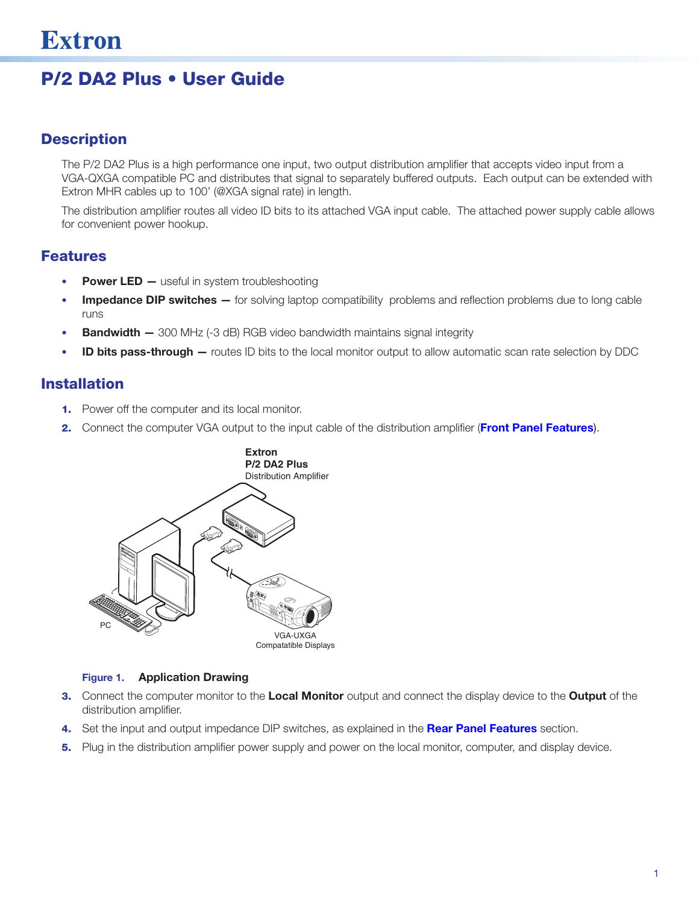# P/2 DA2 Plus • User Guide

# **Description**

The P/2 DA2 Plus is a high performance one input, two output distribution amplifier that accepts video input from a VGA-QXGA compatible PC and distributes that signal to separately buffered outputs. Each output can be extended with Extron MHR cables up to 100' (@XGA signal rate) in length.

The distribution amplifier routes all video ID bits to its attached VGA input cable. The attached power supply cable allows for convenient power hookup.

### Features

- **Power LED** useful in system troubleshooting
- Impedance DIP switches for solving laptop compatibility problems and reflection problems due to long cable runs
- **Bandwidth -** 300 MHz (-3 dB) RGB video bandwidth maintains signal integrity
- **ID bits pass-through —** routes ID bits to the local monitor output to allow automatic scan rate selection by DDC

### Installation

- **1.** Power off the computer and its local monitor.
- 2. Connect the computer VGA output to the input cable of the distribution amplifier ([Front Panel Features](#page-1-0)).



#### Figure 1. Application Drawing

- 3. Connect the computer monitor to the Local Monitor output and connect the display device to the Output of the distribution amplifier.
- 4. Set the input and output impedance DIP switches, as explained in the [Rear Panel Features](#page-1-1) section.
- 5. Plug in the distribution amplifier power supply and power on the local monitor, computer, and display device.